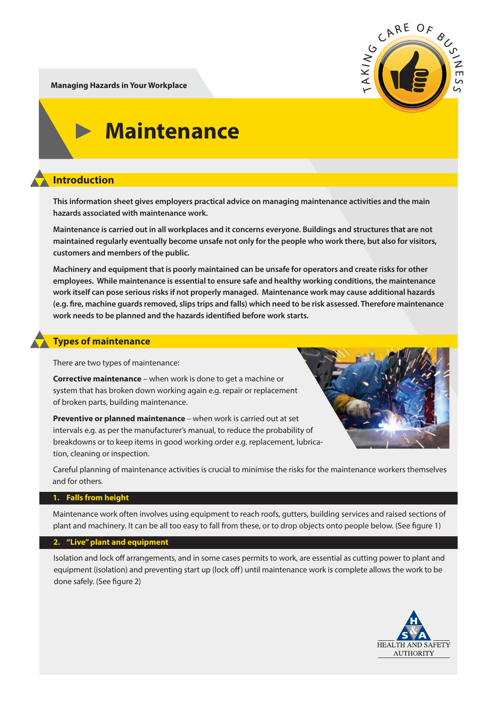CARE OF  $AKIN$ 

**Managing Hazards in Your Workplace**

# **Maintenance**

## **Introduction**

**This information sheet gives employers practical advice on managing maintenance activities and the main hazards associated with maintenance work.** 

**Maintenance is carried out in all workplaces and it concerns everyone. Buildings and structures that are not maintained regularly eventually become unsafe not only for the people who work there, but also for visitors, customers and members of the public.**

**Machinery and equipment that is poorly maintained can be unsafe for operators and create risks for other employees. While maintenance is essential to ensure safe and healthy working conditions, the maintenance work itself can pose serious risks if not properly managed. Maintenance work may cause additional hazards**  (e.g. fire, machine guards removed, slips trips and falls) which need to be risk assessed. Therefore maintenance work needs to be planned and the hazards identified before work starts.

## **Types of maintenance**

There are two types of maintenance:

**Corrective maintenance** – when work is done to get a machine or system that has broken down working again e.g. repair or replacement of broken parts, building maintenance.

**Preventive or planned maintenance** – when work is carried out at set intervals e.g. as per the manufacturer's manual, to reduce the probability of breakdowns or to keep items in good working order e.g. replacement, lubrication, cleaning or inspection.



Careful planning of maintenance activities is crucial to minimise the risks for the maintenance workers themselves and for others.

## **1. Falls from height**

Maintenance work often involves using equipment to reach roofs, gutters, building services and raised sections of plant and machinery. It can be all too easy to fall from these, or to drop objects onto people below. (See figure 1)

## **2. "Live" plant and equipment**

Isolation and lock off arrangements, and in some cases permits to work, are essential as cutting power to plant and equipment (isolation) and preventing start up (lock off) until maintenance work is complete allows the work to be done safely. (See figure 2)

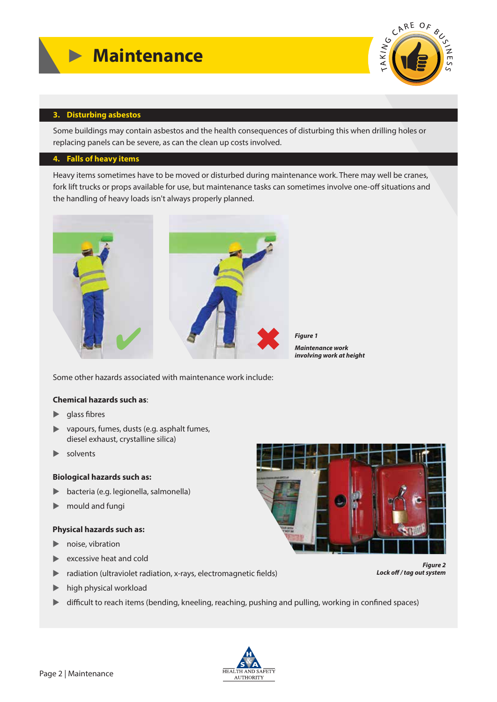

#### **3. Disturbing asbestos**

Some buildings may contain asbestos and the health consequences of disturbing this when drilling holes or replacing panels can be severe, as can the clean up costs involved.

#### **4. Falls of heavy items**

Heavy items sometimes have to be moved or disturbed during maintenance work. There may well be cranes, fork lift trucks or props available for use, but maintenance tasks can sometimes involve one-off situations and the handling of heavy loads isn't always properly planned.



*Figure 1 Maintenance work involving work at height*

Some other hazards associated with maintenance work include:

#### **Chemical hazards such as**:

- $\blacktriangleright$  glass fibres
- ▲ vapours, fumes, dusts (e.g. asphalt fumes, diesel exhaust, crystalline silica)
- $\blacktriangleright$ solvents

#### **Biological hazards such as:**

- ▲ bacteria (e.g. legionella, salmonella)
- $\blacktriangleright$ mould and fungi

#### **Physical hazards such as:**

- **•** noise, vibration
- **Excessive heat and cold**
- adiation (ultraviolet radiation, x-rays, electromagnetic fields)
- **IDED** high physical workload
- **IF** difficult to reach items (bending, kneeling, reaching, pushing and pulling, working in confined spaces)





*Figure 2* Lock off / tag out system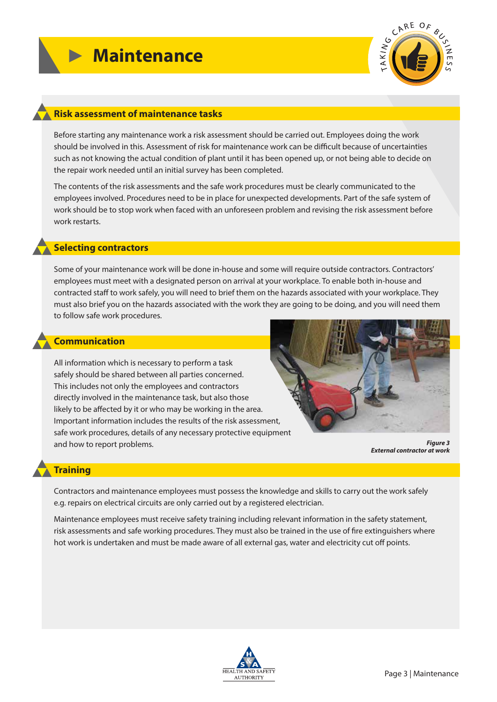

#### **Risk assessment of maintenance tasks**

Before starting any maintenance work a risk assessment should be carried out. Employees doing the work should be involved in this. Assessment of risk for maintenance work can be difficult because of uncertainties such as not knowing the actual condition of plant until it has been opened up, or not being able to decide on the repair work needed until an initial survey has been completed.

The contents of the risk assessments and the safe work procedures must be clearly communicated to the employees involved. Procedures need to be in place for unexpected developments. Part of the safe system of work should be to stop work when faced with an unforeseen problem and revising the risk assessment before work restarts.

#### **Selecting contractors**

Some of your maintenance work will be done in-house and some will require outside contractors. Contractors' employees must meet with a designated person on arrival at your workplace. To enable both in-house and contracted staff to work safely, you will need to brief them on the hazards associated with your workplace. They must also brief you on the hazards associated with the work they are going to be doing, and you will need them to follow safe work procedures.

#### **Communication**

All information which is necessary to perform a task safely should be shared between all parties concerned. This includes not only the employees and contractors directly involved in the maintenance task, but also those likely to be affected by it or who may be working in the area. Important information includes the results of the risk assessment, safe work procedures, details of any necessary protective equipment and how to report problems.



*Figure 3 External contractor at work* 

#### **Training**

Contractors and maintenance employees must possess the knowledge and skills to carry out the work safely e.g. repairs on electrical circuits are only carried out by a registered electrician.

Maintenance employees must receive safety training including relevant information in the safety statement, risk assessments and safe working procedures. They must also be trained in the use of fire extinguishers where hot work is undertaken and must be made aware of all external gas, water and electricity cut off points.